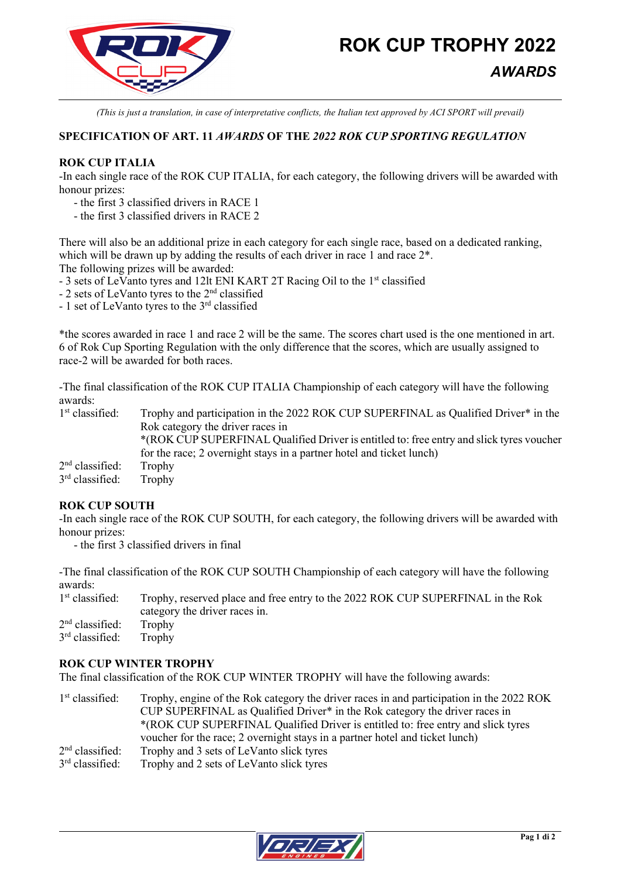

*(This is just a translation, in case of interpretative conflicts, the Italian text approved by ACI SPORT will prevail)*

# **SPECIFICATION OF ART. 11** *AWARDS* **OF THE** *2022 ROK CUP SPORTING REGULATION*

## **ROK CUP ITALIA**

-In each single race of the ROK CUP ITALIA, for each category, the following drivers will be awarded with honour prizes:

- the first 3 classified drivers in RACE 1

- the first 3 classified drivers in RACE 2

There will also be an additional prize in each category for each single race, based on a dedicated ranking, which will be drawn up by adding the results of each driver in race 1 and race  $2^*$ .

The following prizes will be awarded:

- 3 sets of LeVanto tyres and 12lt ENI KART 2T Racing Oil to the 1<sup>st</sup> classified
- 2 sets of LeVanto tyres to the 2nd classified
- 1 set of LeVanto tyres to the 3rd classified

\*the scores awarded in race 1 and race 2 will be the same. The scores chart used is the one mentioned in art. 6 of Rok Cup Sporting Regulation with the only difference that the scores, which are usually assigned to race-2 will be awarded for both races.

-The final classification of the ROK CUP ITALIA Championship of each category will have the following awards:<br>1<sup>st</sup> classified:

Trophy and participation in the 2022 ROK CUP SUPERFINAL as Qualified Driver\* in the Rok category the driver races in \*(ROK CUP SUPERFINAL Qualified Driver is entitled to: free entry and slick tyres voucher for the race; 2 overnight stays in a partner hotel and ticket lunch)  $2<sup>nd</sup>$  classified: Trophy<br> $3<sup>rd</sup>$  classified: Trophy  $3<sup>rd</sup>$  classified:

## **ROK CUP SOUTH**

-In each single race of the ROK CUP SOUTH, for each category, the following drivers will be awarded with honour prizes:

- the first 3 classified drivers in final

-The final classification of the ROK CUP SOUTH Championship of each category will have the following awards:

| $1st$ classified:        | Trophy, reserved place and free entry to the 2022 ROK CUP SUPERFINAL in the Rok |
|--------------------------|---------------------------------------------------------------------------------|
|                          | category the driver races in.                                                   |
| $2nd$ classified: Trophy |                                                                                 |
| $3rd$ classified:        | Trophy                                                                          |

#### **ROK CUP WINTER TROPHY**

The final classification of the ROK CUP WINTER TROPHY will have the following awards:

1<sup>st</sup> classified: Trophy, engine of the Rok category the driver races in and participation in the 2022 ROK CUP SUPERFINAL as Qualified Driver\* in the Rok category the driver races in \*(ROK CUP SUPERFINAL Qualified Driver is entitled to: free entry and slick tyres voucher for the race; 2 overnight stays in a partner hotel and ticket lunch)  $2<sup>nd</sup>$  classified: Trophy and 3 sets of LeVanto slick tyres  $3<sup>rd</sup>$  classified: Trophy and 2 sets of LeVanto slick tyres Trophy and 2 sets of LeVanto slick tyres